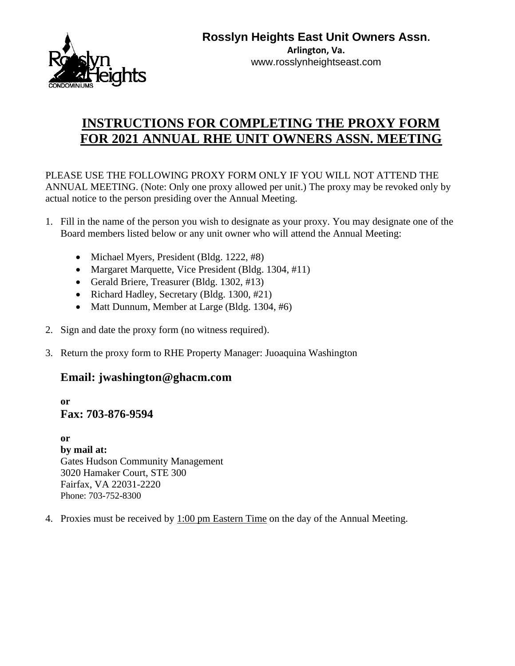

**Arlington, Va.** www.rosslynheightseast.com

## **INSTRUCTIONS FOR COMPLETING THE PROXY FORM FOR 2021 ANNUAL RHE UNIT OWNERS ASSN. MEETING**

PLEASE USE THE FOLLOWING PROXY FORM ONLY IF YOU WILL NOT ATTEND THE ANNUAL MEETING. (Note: Only one proxy allowed per unit.) The proxy may be revoked only by actual notice to the person presiding over the Annual Meeting.

- 1. Fill in the name of the person you wish to designate as your proxy. You may designate one of the Board members listed below or any unit owner who will attend the Annual Meeting:
	- Michael Myers, President (Bldg. 1222, #8)
	- Margaret Marquette, Vice President (Bldg. 1304, #11)
	- Gerald Briere, Treasurer (Bldg. 1302, #13)
	- Richard Hadley, Secretary (Bldg. 1300, #21)
	- Matt Dunnum, Member at Large (Bldg. 1304, #6)
- 2. Sign and date the proxy form (no witness required).
- 3. Return the proxy form to RHE Property Manager: Juoaquina Washington

## **Email: jwashington@ghacm.com**

**or Fax: 703-876-9594**

**or by mail at:** Gates Hudson Community Management 3020 Hamaker Court, STE 300 Fairfax, VA 22031-2220 Phone: 703-752-8300

4. Proxies must be received by 1:00 pm Eastern Time on the day of the Annual Meeting.